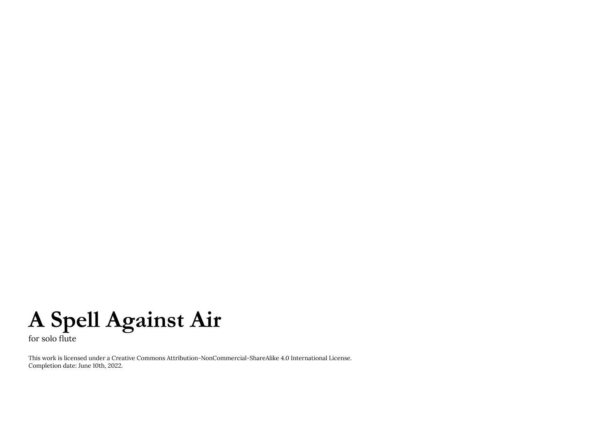## **A Spell Against Air**

for solo flute

This work is licensed under a Creative Commons Attribution-NonCommercial-ShareAlike 4.0 International License. Completion date: June 10th, 2022.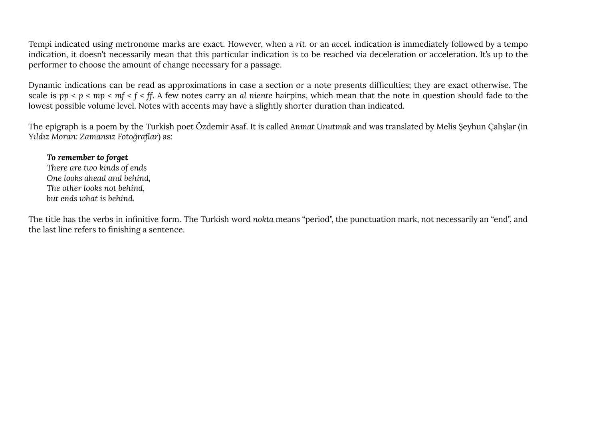Tempi indicated using metronome marks are exact. However, when a *rit*. or an *accel*. indication is immediately followed by a tempo indication, it doesn't necessarily mean that this particular indication is to be reached via deceleration or acceleration. It's up to the performer to choose the amount of change necessary for a passage.

Dynamic indications can be read as approximations in case a section or a note presents difficulties; they are exact otherwise. The scale is *pp* < *p* < *mp* < *mf* < *f* < *ff*. A few notes carry an *al niente* hairpins, which mean that the note in question should fade to the lowest possible volume level. Notes with accents may have a slightly shorter duration than indicated.

The epigraph is a poem by the Turkish poet Özdemir Asaf. It is called *Anmat Unutmak* and was translated by Melis Şeyhun Çalışlar (in *Yıldız Moran: Zamansız Fotoğraflar*) as:

## *To remember to forget*

*There are two kinds of ends One looks ahead and behind, The other looks not behind, but ends what is behind.*

The title has the verbs in infinitive form. The Turkish word *nokta* means "period", the punctuation mark, not necessarily an "end", and the last line refers to finishing a sentence.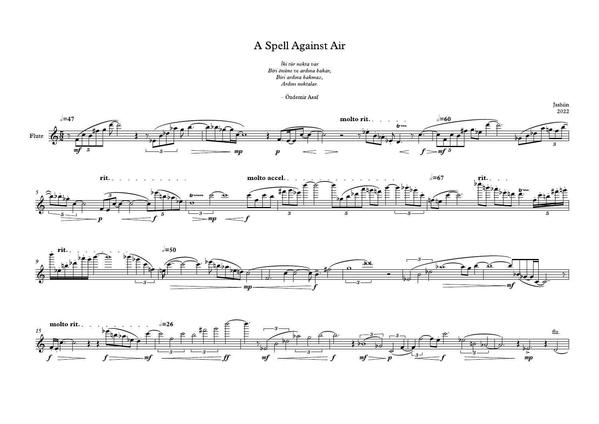## A Spell Against Air

İki tür nokta var na nokea eur<br>Biri önüne ve ardına bakar,<br>Biri ardına bakmaz,<br>Ardını noktalar.









Jashiin

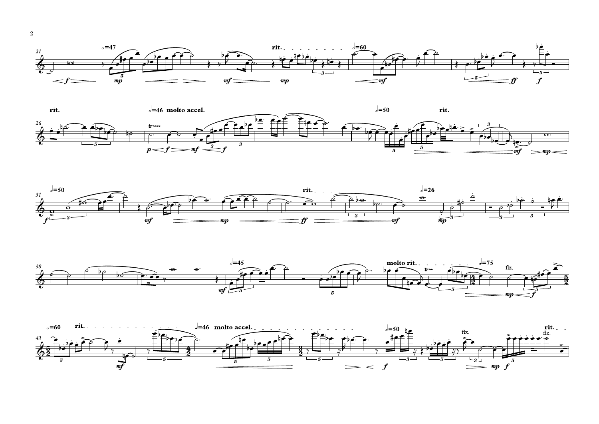







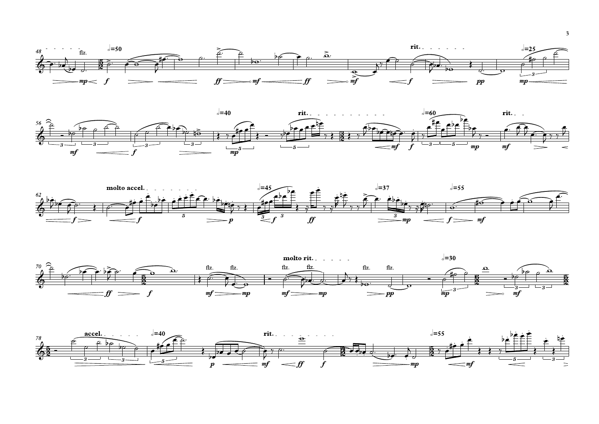





 $3<sup>1</sup>$ 



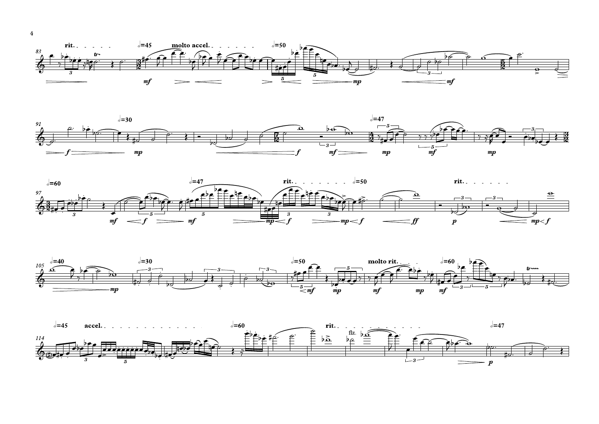







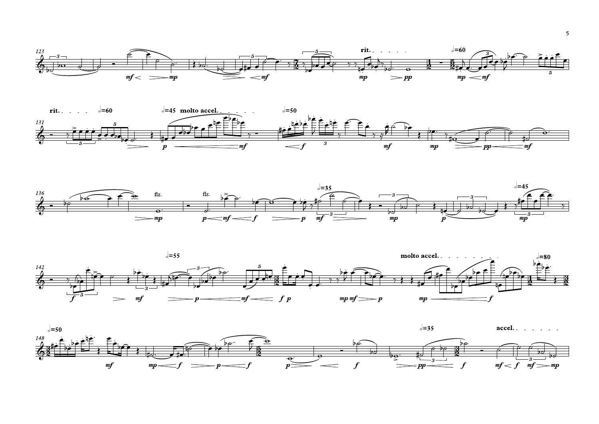



![](_page_6_Figure_2.jpeg)

![](_page_6_Figure_3.jpeg)

![](_page_6_Figure_4.jpeg)

![](_page_6_Figure_5.jpeg)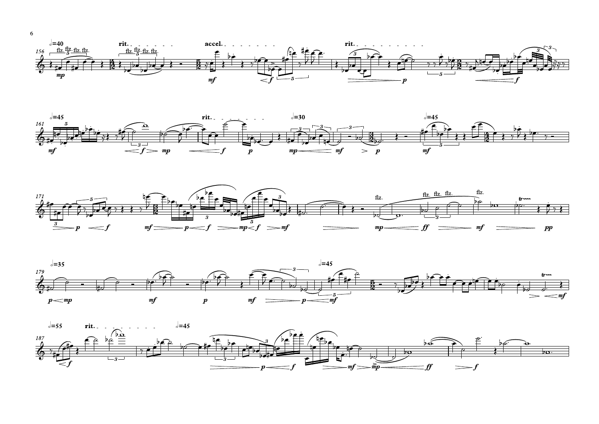![](_page_7_Figure_0.jpeg)

![](_page_7_Figure_1.jpeg)

![](_page_7_Figure_2.jpeg)

![](_page_7_Figure_3.jpeg)

![](_page_7_Figure_4.jpeg)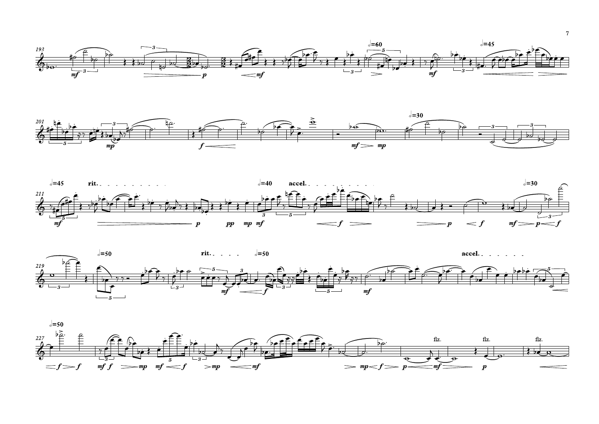![](_page_8_Figure_0.jpeg)

![](_page_8_Figure_1.jpeg)

![](_page_8_Figure_2.jpeg)

![](_page_8_Figure_3.jpeg)

![](_page_8_Figure_4.jpeg)

![](_page_8_Figure_5.jpeg)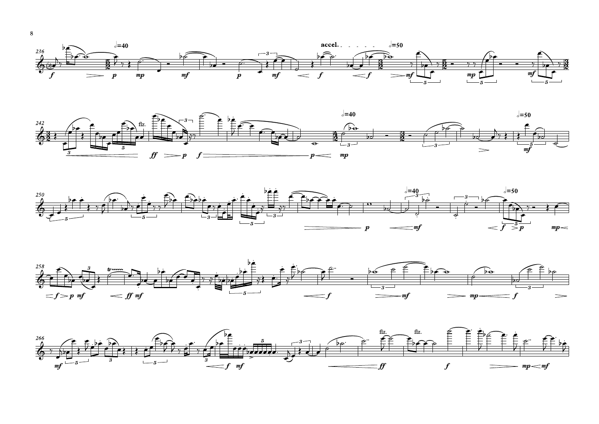![](_page_9_Figure_0.jpeg)

![](_page_9_Figure_1.jpeg)

![](_page_9_Figure_2.jpeg)

![](_page_9_Figure_3.jpeg)

![](_page_9_Figure_4.jpeg)